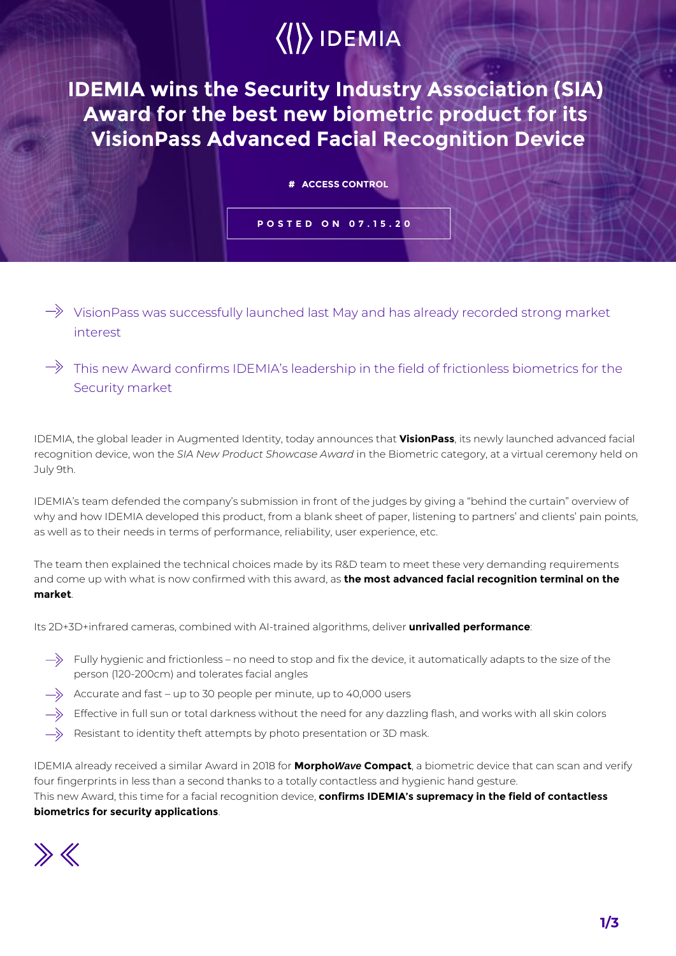# $\langle\langle\rangle\rangle$  IDEMIA

**IDEMIA wins the Security Industry Association (SIA) Award for the best new biometric product for its VisionPass Advanced Facial Recognition Device**

#### **# ACCESS CONTROL**

### **POSTED ON 07.15.20**

- $\Rightarrow$  VisionPass was successfully launched last May and has already recorded strong market interest
- $\Rightarrow$  This new Award confirms IDEMIA's leadership in the field of frictionless biometrics for the Security market

IDEMIA, the global leader in Augmented Identity, today announces that **VisionPass**, its newly launched advanced facial recognition device, won the *SIA New Product Showcase Award* in the Biometric category, at a virtual ceremony held on July 9th.

IDEMIA's team defended the company's submission in front of the judges by giving a "behind the curtain" overview of why and how IDEMIA developed this product, from a blank sheet of paper, listening to partners' and clients' pain points, as well as to their needs in terms of performance, reliability, user experience, etc.

The team then explained the technical choices made by its R&D team to meet these very demanding requirements and come up with what is now confirmed with this award, as **the most advanced facial recognition terminal on the market**.

Its 2D+3D+infrared cameras, combined with AI-trained algorithms, deliver **unrivalled performance**:

- $\Rightarrow$  Fully hygienic and frictionless no need to stop and fix the device, it automatically adapts to the size of the person (120-200cm) and tolerates facial angles
- $\Rightarrow$  Accurate and fast up to 30 people per minute, up to 40,000 users
- Effective in full sun or total darkness without the need for any dazzling flash, and works with all skin colors
- Resistant to identity theft attempts by photo presentation or 3D mask.

IDEMIA already received a similar Award in 2018 for **MorphoWave Compact**, a biometric device that can scan and verify four fingerprints in less than a second thanks to a totally contactless and hygienic hand gesture.

This new Award, this time for a facial recognition device, **confirms IDEMIA's supremacy in the field of contactless biometrics for security applications**.

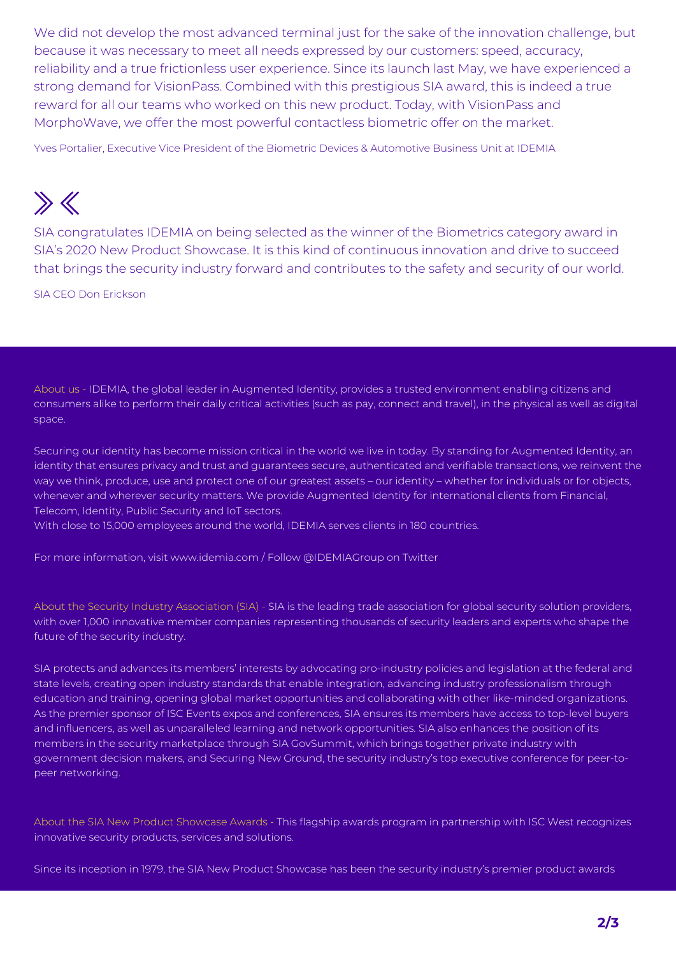We did not develop the most advanced terminal just for the sake of the innovation challenge, but because it was necessary to meet all needs expressed by our customers: speed, accuracy, reliability and a true frictionless user experience. Since its launch last May, we have experienced a strong demand for VisionPass. Combined with this prestigious SIA award, this is indeed a true reward for all our teams who worked on this new product. Today, with VisionPass and MorphoWave, we offer the most powerful contactless biometric offer on the market.

Yves Portalier, Executive Vice President of the Biometric Devices & Automotive Business Unit at IDEMIA

## $\gg K$

SIA congratulates IDEMIA on being selected as the winner of the Biometrics category award in SIA's 2020 New Product Showcase. It is this kind of continuous innovation and drive to succeed that brings the security industry forward and contributes to the safety and security of our world.

SIA CEO Don Erickson

About us - IDEMIA, the global leader in Augmented Identity, provides a trusted environment enabling citizens and consumers alike to perform their daily critical activities (such as pay, connect and travel), in the physical as well as digital space.

Securing our identity has become mission critical in the world we live in today. By standing for Augmented Identity, an identity that ensures privacy and trust and guarantees secure, authenticated and verifiable transactions, we reinvent the way we think, produce, use and protect one of our greatest assets – our identity – whether for individuals or for objects, whenever and wherever security matters. We provide Augmented Identity for international clients from Financial, Telecom, Identity, Public Security and IoT sectors.

With close to 15,000 employees around the world, IDEMIA serves clients in 180 countries.

For more information, visit www.idemia.com / Follow @IDEMIAGroup on Twitter

About the Security Industry Association (SIA) - SIA is the leading trade association for global security solution providers, with over 1,000 innovative member companies representing thousands of security leaders and experts who shape the future of the security industry.

SIA protects and advances its members' interests by advocating pro-industry policies and legislation at the federal and state levels, creating open industry standards that enable integration, advancing industry professionalism through education and training, opening global market opportunities and collaborating with other like-minded organizations. As the premier sponsor of ISC Events expos and conferences, SIA ensures its members have access to top-level buyers and influencers, as well as unparalleled learning and network opportunities. SIA also enhances the position of its members in the security marketplace through SIA GovSummit, which brings together private industry with government decision makers, and Securing New Ground, the security industry's top executive conference for peer-topeer networking.

About the SIA New Product Showcase Awards - This flagship awards program in partnership with ISC West recognizes innovative security products, services and solutions.

Since its inception in 1979, the SIA New Product Showcase has been the security industry's premier product awards